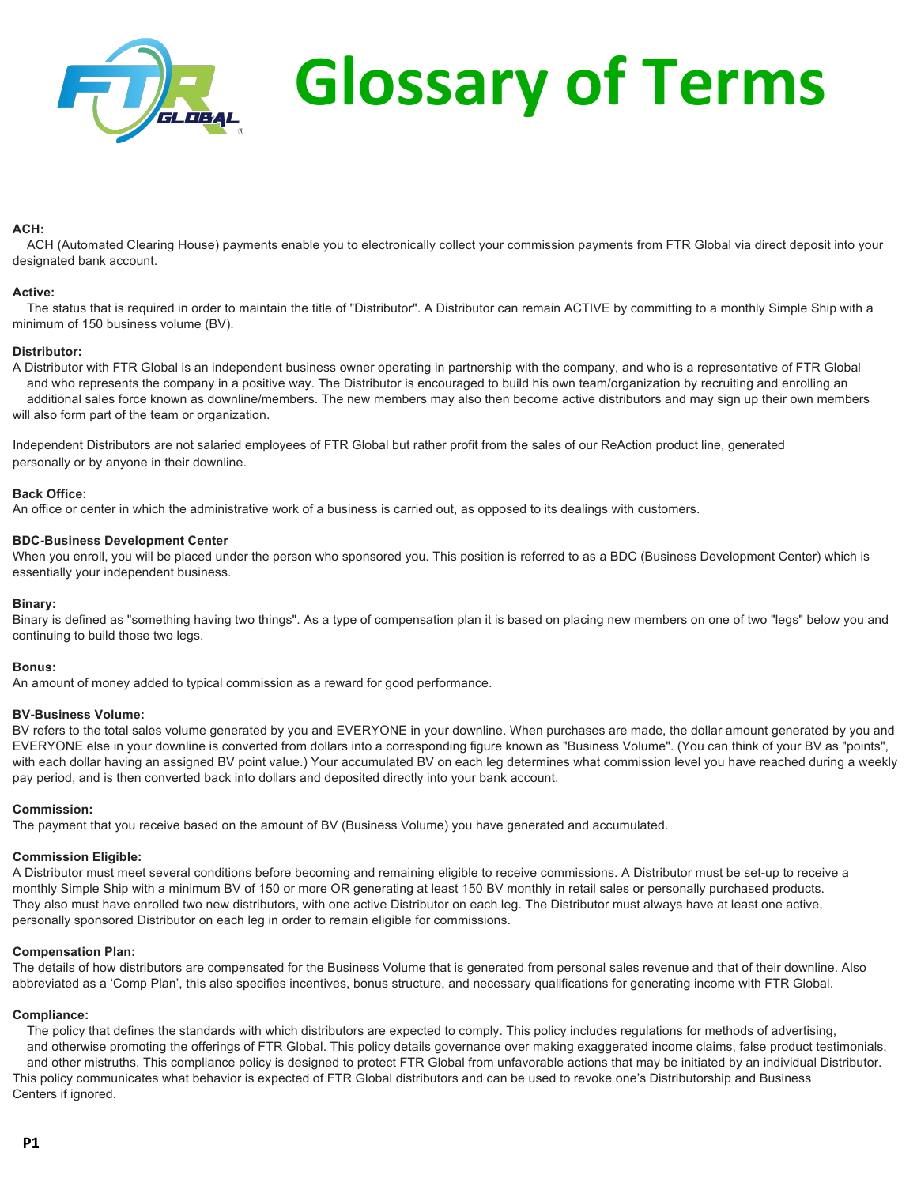

# **ACH:**

ACH (Automated Clearing House) payments enable you to electronically collect your commission payments from FTR Global via direct deposit into your designated bank account.

# **Active:**

The status that is required in order to maintain the title of "Distributor". A Distributor can remain ACTIVE by committing to a monthly Simple Ship with a minimum of 150 business volume (BV).

# **Distributor:**

A Distributor with FTR Global is an independent business owner operating in partnership with the company, and who is a representative of FTR Global and who represents the company in a positive way. The Distributor is encouraged to build his own team/organization by recruiting and enrolling an additional sales force known as downline/members. The new members may also then become active distributors and may sign up their own members will also form part of the team or organization.

Independent Distributors are not salaried employees of FTR Global but rather profit from the sales of our ReAction product line, generated personally or by anyone in their downline.

# **Back Office:**

An office or center in which the administrative work of a business is carried out, as opposed to its dealings with customers.

# **BDC-Business Development Center**

When you enroll, you will be placed under the person who sponsored you. This position is referred to as a BDC (Business Development Center) which is essentially your independent business.

# **Binary:**

Binary is defined as "something having two things". As a type of compensation plan it is based on placing new members on one of two "legs" below you and continuing to build those two legs.

# **Bonus:**

An amount of money added to typical commission as a reward for good performance.

# **BV-Business Volume:**

BV refers to the total sales volume generated by you and EVERYONE in your downline. When purchases are made, the dollar amount generated by you and EVERYONE else in your downline is converted from dollars into a corresponding figure known as "Business Volume". (You can think of your BV as "points", with each dollar having an assigned BV point value.) Your accumulated BV on each leg determines what commission level you have reached during a weekly pay period, and is then converted back into dollars and deposited directly into your bank account.

# **Commission:**

The payment that you receive based on the amount of BV (Business Volume) you have generated and accumulated.

# **Commission Eligible:**

A Distributor must meet several conditions before becoming and remaining eligible to receive commissions. A Distributor must be set-up to receive a monthly Simple Ship with a minimum BV of 150 or more OR generating at least 150 BV monthly in retail sales or personally purchased products. They also must have enrolled two new distributors, with one active Distributor on each leg. The Distributor must always have at least one active, personally sponsored Distributor on each leg in order to remain eligible for commissions.

# **Compensation Plan:**

The details of how distributors are compensated for the Business Volume that is generated from personal sales revenue and that of their downline. Also abbreviated as a 'Comp Plan', this also specifies incentives, bonus structure, and necessary qualifications for generating income with FTR Global.

# **Compliance:**

The policy that defines the standards with which distributors are expected to comply. This policy includes regulations for methods of advertising, and otherwise promoting the offerings of FTR Global. This policy details governance over making exaggerated income claims, false product testimonials, and other mistruths. This compliance policy is designed to protect FTR Global from unfavorable actions that may be initiated by an individual Distributor. This policy communicates what behavior is expected of FTR Global distributors and can be used to revoke one's Distributorship and Business Centers if ignored.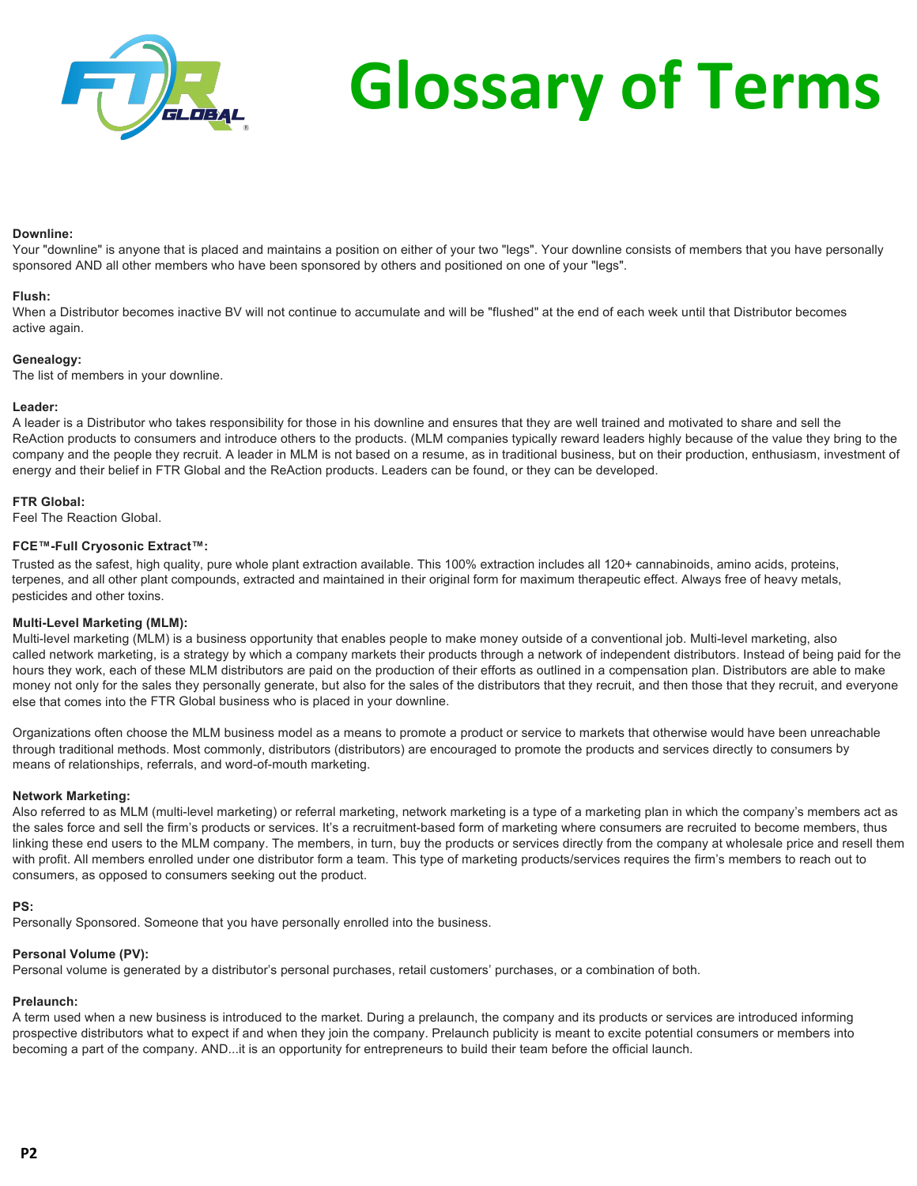

# **Downline:**

Your "downline" is anyone that is placed and maintains a position on either of your two "legs". Your downline consists of members that you have personally sponsored AND all other members who have been sponsored by others and positioned on one of your "legs".

# **Flush:**

When a Distributor becomes inactive BV will not continue to accumulate and will be "flushed" at the end of each week until that Distributor becomes active again.

# **Genealogy:**

The list of members in your downline.

# **Leader:**

A leader is a Distributor who takes responsibility for those in his downline and ensures that they are well trained and motivated to share and sell the ReAction products to consumers and introduce others to the products. (MLM companies typically reward leaders highly because of the value they bring to the company and the people they recruit. A leader in MLM is not based on a resume, as in traditional business, but on their production, enthusiasm, investment of energy and their belief in FTR Global and the ReAction products. Leaders can be found, or they can be developed.

# **FTR Global:**

Feel The Reaction Global.

# **FCE™-Full Cryosonic Extract™:**

Trusted as the safest, high quality, pure whole plant extraction available. This 100% extraction includes all 120+ cannabinoids, amino acids, proteins, terpenes, and all other plant compounds, extracted and maintained in their original form for maximum therapeutic effect. Always free of heavy metals, pesticides and other toxins.

# **Multi-Level Marketing (MLM):**

Multi-level marketing (MLM) is a business opportunity that enables people to make money outside of a conventional job. Multi-level marketing, also called network marketing, is a strategy by which a company markets their products through a network of independent distributors. Instead of being paid for the hours they work, each of these MLM distributors are paid on the production of their efforts as outlined in a compensation plan. Distributors are able to make money not only for the sales they personally generate, but also for the sales of the distributors that they recruit, and then those that they recruit, and everyone else that comes into the FTR Global business who is placed in your downline.

Organizations often choose the MLM business model as a means to promote a product or service to markets that otherwise would have been unreachable through traditional methods. Most commonly, distributors (distributors) are encouraged to promote the products and services directly to consumers by means of relationships, referrals, and word-of-mouth marketing.

# **Network Marketing:**

Also referred to as MLM (multi-level marketing) or referral marketing, network marketing is a type of a marketing plan in which the company's members act as the sales force and sell the firm's products or services. It's a recruitment-based form of marketing where consumers are recruited to become members, thus linking these end users to the MLM company. The members, in turn, buy the products or services directly from the company at wholesale price and resell them with profit. All members enrolled under one distributor form a team. This type of marketing products/services requires the firm's members to reach out to consumers, as opposed to consumers seeking out the product.

# **PS:**

Personally Sponsored. Someone that you have personally enrolled into the business.

# **Personal Volume (PV):**

Personal volume is generated by a distributor's personal purchases, retail customers' purchases, or a combination of both.

# **Prelaunch:**

A term used when a new business is introduced to the market. During a prelaunch, the company and its products or services are introduced informing prospective distributors what to expect if and when they join the company. Prelaunch publicity is meant to excite potential consumers or members into becoming a part of the company. AND...it is an opportunity for entrepreneurs to build their team before the official launch.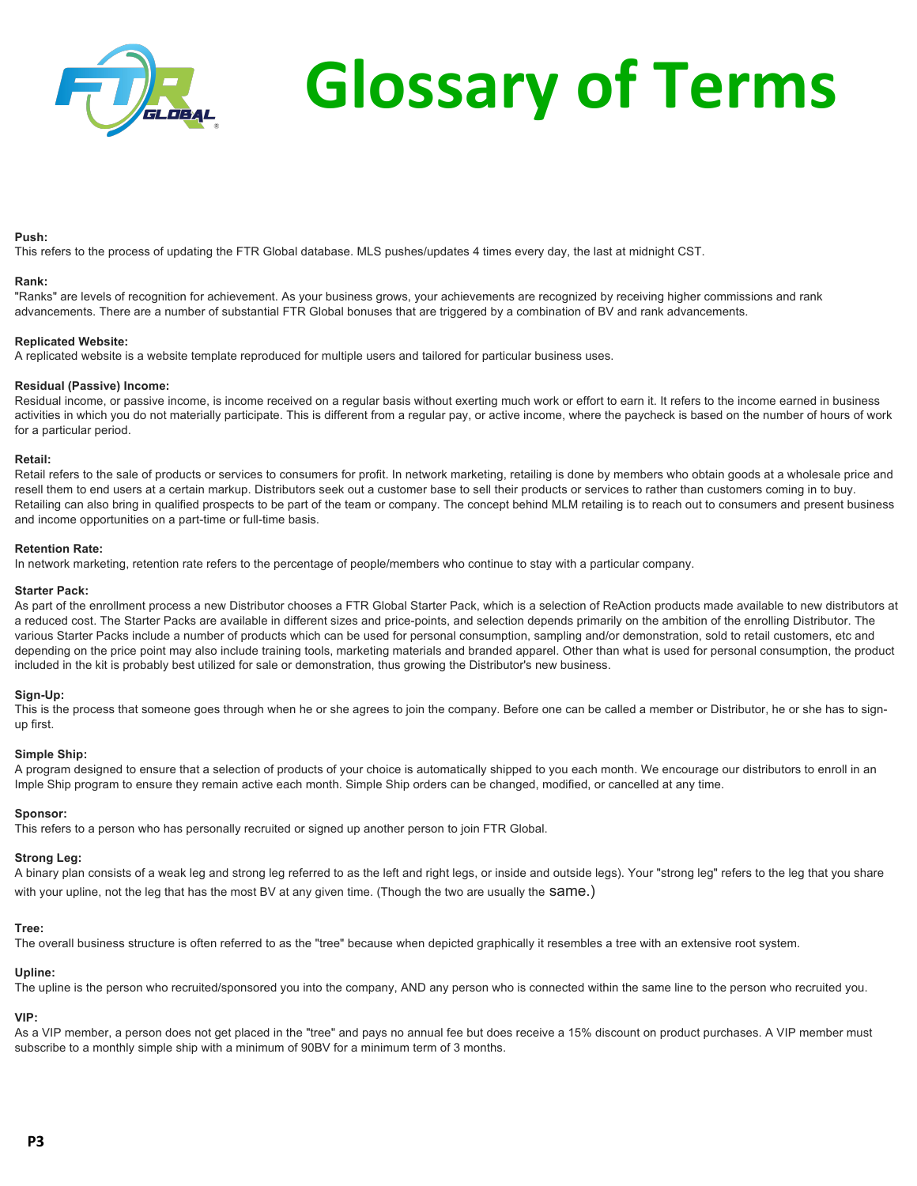

# **Push:**

This refers to the process of updating the FTR Global database. MLS pushes/updates 4 times every day, the last at midnight CST.

# **Rank:**

"Ranks" are levels of recognition for achievement. As your business grows, your achievements are recognized by receiving higher commissions and rank advancements. There are a number of substantial FTR Global bonuses that are triggered by a combination of BV and rank advancements.

# **Replicated Website:**

A replicated website is a website template reproduced for multiple users and tailored for particular business uses.

# **Residual (Passive) Income:**

Residual income, or passive income, is income received on a regular basis without exerting much work or effort to earn it. It refers to the income earned in business activities in which you do not materially participate. This is different from a regular pay, or active income, where the paycheck is based on the number of hours of work for a particular period.

# **Retail:**

Retail refers to the sale of products or services to consumers for profit. In network marketing, retailing is done by members who obtain goods at a wholesale price and resell them to end users at a certain markup. Distributors seek out a customer base to sell their products or services to rather than customers coming in to buy. Retailing can also bring in qualified prospects to be part of the team or company. The concept behind MLM retailing is to reach out to consumers and present business and income opportunities on a part-time or full-time basis.

# **Retention Rate:**

In network marketing, retention rate refers to the percentage of people/members who continue to stay with a particular company.

# **Starter Pack:**

As part of the enrollment process a new Distributor chooses a FTR Global Starter Pack, which is a selection of ReAction products made available to new distributors at a reduced cost. The Starter Packs are available in different sizes and price-points, and selection depends primarily on the ambition of the enrolling Distributor. The various Starter Packs include a number of products which can be used for personal consumption, sampling and/or demonstration, sold to retail customers, etc and depending on the price point may also include training tools, marketing materials and branded apparel. Other than what is used for personal consumption, the product included in the kit is probably best utilized for sale or demonstration, thus growing the Distributor's new business.

# **Sign-Up:**

This is the process that someone goes through when he or she agrees to join the company. Before one can be called a member or Distributor, he or she has to signup first.

# **Simple Ship:**

A program designed to ensure that a selection of products of your choice is automatically shipped to you each month. We encourage our distributors to enroll in an Imple Ship program to ensure they remain active each month. Simple Ship orders can be changed, modified, or cancelled at any time.

# **Sponsor:**

This refers to a person who has personally recruited or signed up another person to join FTR Global.

# **Strong Leg:**

A binary plan consists of a weak leg and strong leg referred to as the left and right legs, or inside and outside legs). Your "strong leg" refers to the leg that you share with your upline, not the leg that has the most BV at any given time. (Though the two are usually the Same.)

# **Tree:**

The overall business structure is often referred to as the "tree" because when depicted graphically it resembles a tree with an extensive root system.

# **Upline:**

The upline is the person who recruited/sponsored you into the company, AND any person who is connected within the same line to the person who recruited you.

# **VIP:**

As a VIP member, a person does not get placed in the "tree" and pays no annual fee but does receive a 15% discount on product purchases. A VIP member must subscribe to a monthly simple ship with a minimum of 90BV for a minimum term of 3 months.